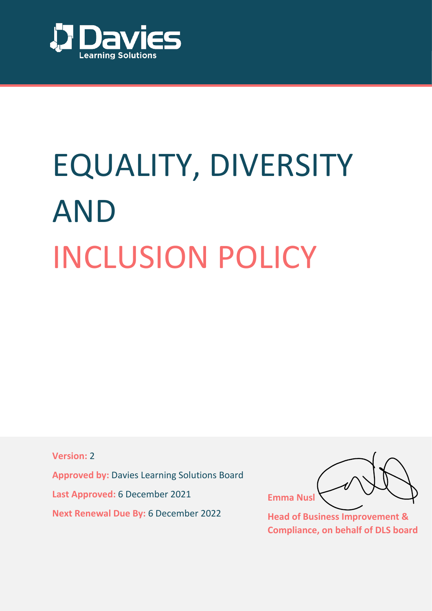

# EQUALITY, DIVERSITY AND INCLUSION POLICY

**Version:** 2

**Approved by:** Davies Learning Solutions Board

**Last Approved:** 6 December 2021

**Next Renewal Due By:** 6 December 2022

**Emma Nusl**

**Head of Business Improvement & Compliance, on behalf of DLS board**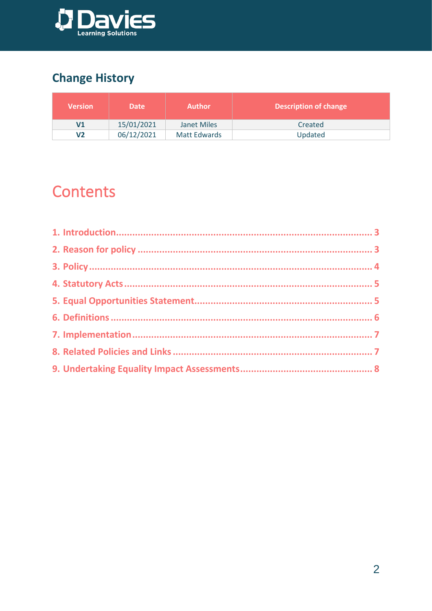

## **Change History**

| <b>Version</b> | <b>Date</b> | <b>Author</b> | <b>Description of change</b> |
|----------------|-------------|---------------|------------------------------|
| ۷1             | 15/01/2021  | Janet Miles   | Created                      |
| V <sub>2</sub> | 06/12/2021  | Matt Edwards  | Updated                      |

# **Contents**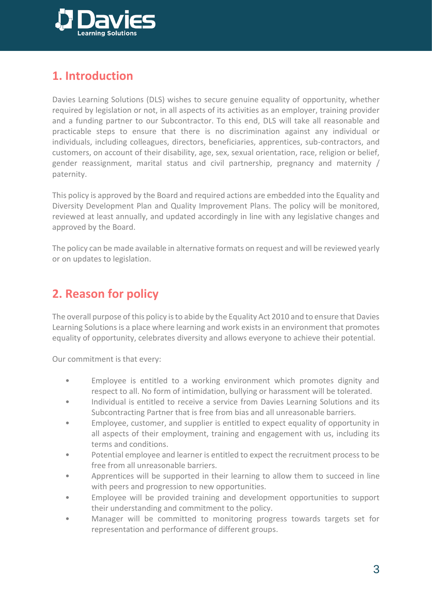

## **1. Introduction**

Davies Learning Solutions (DLS) wishes to secure genuine equality of opportunity, whether required by legislation or not, in all aspects of its activities as an employer, training provider and a funding partner to our Subcontractor. To this end, DLS will take all reasonable and practicable steps to ensure that there is no discrimination against any individual or individuals, including colleagues, directors, beneficiaries, apprentices, sub-contractors, and customers, on account of their disability, age, sex, sexual orientation, race, religion or belief, gender reassignment, marital status and civil partnership, pregnancy and maternity / paternity.

This policy is approved by the Board and required actions are embedded into the Equality and Diversity Development Plan and Quality Improvement Plans. The policy will be monitored, reviewed at least annually, and updated accordingly in line with any legislative changes and approved by the Board.

The policy can be made available in alternative formats on request and will be reviewed yearly or on updates to legislation.

## <span id="page-2-0"></span>**2. Reason for policy**

The overall purpose of this policy is to abide by the Equality Act 2010 and to ensure that Davies Learning Solutions is a place where learning and work exists in an environment that promotes equality of opportunity, celebrates diversity and allows everyone to achieve their potential.

Our commitment is that every:

- Employee is entitled to a working environment which promotes dignity and respect to all. No form of intimidation, bullying or harassment will be tolerated.
- Individual is entitled to receive a service from Davies Learning Solutions and its Subcontracting Partner that is free from bias and all unreasonable barriers.
- Employee, customer, and supplier is entitled to expect equality of opportunity in all aspects of their employment, training and engagement with us, including its terms and conditions.
- Potential employee and learner is entitled to expect the recruitment process to be free from all unreasonable barriers.
- Apprentices will be supported in their learning to allow them to succeed in line with peers and progression to new opportunities.
- Employee will be provided training and development opportunities to support their understanding and commitment to the policy.
- Manager will be committed to monitoring progress towards targets set for representation and performance of different groups.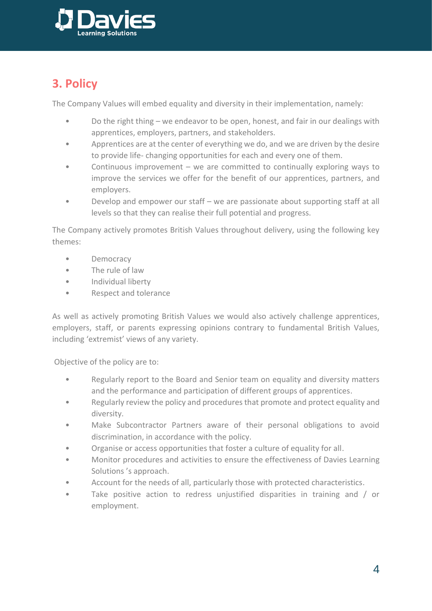

## <span id="page-3-0"></span>**3. Policy**

The Company Values will embed equality and diversity in their implementation, namely:

- Do the right thing we endeavor to be open, honest, and fair in our dealings with apprentices, employers, partners, and stakeholders.
- Apprentices are at the center of everything we do, and we are driven by the desire to provide life- changing opportunities for each and every one of them.
- Continuous improvement we are committed to continually exploring ways to improve the services we offer for the benefit of our apprentices, partners, and employers.
- Develop and empower our staff we are passionate about supporting staff at all levels so that they can realise their full potential and progress.

The Company actively promotes British Values throughout delivery, using the following key themes:

- Democracy
- The rule of law
- Individual liberty
- Respect and tolerance

As well as actively promoting British Values we would also actively challenge apprentices, employers, staff, or parents expressing opinions contrary to fundamental British Values, including 'extremist' views of any variety.

Objective of the policy are to:

- Regularly report to the Board and Senior team on equality and diversity matters and the performance and participation of different groups of apprentices.
- Regularly review the policy and procedures that promote and protect equality and diversity.
- Make Subcontractor Partners aware of their personal obligations to avoid discrimination, in accordance with the policy.
- Organise or access opportunities that foster a culture of equality for all.
- Monitor procedures and activities to ensure the effectiveness of Davies Learning Solutions 's approach.
- Account for the needs of all, particularly those with protected characteristics.
- Take positive action to redress unjustified disparities in training and / or employment.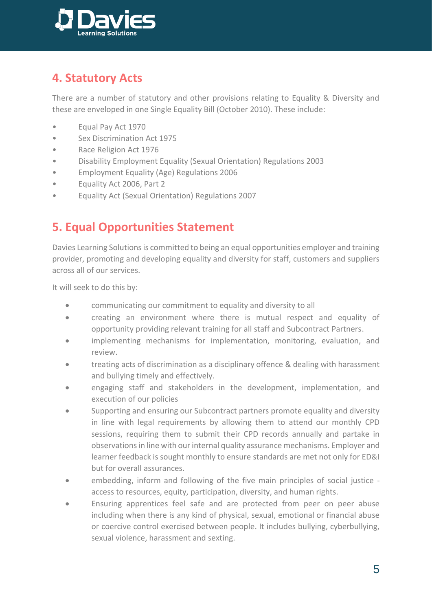

## <span id="page-4-0"></span>**4. Statutory Acts**

There are a number of statutory and other provisions relating to Equality & Diversity and these are enveloped in one Single Equality Bill (October 2010). These include:

- Equal Pay Act 1970
- Sex Discrimination Act 1975
- Race Religion Act 1976
- Disability Employment Equality (Sexual Orientation) Regulations 2003
- Employment Equality (Age) Regulations 2006
- Equality Act 2006, Part 2
- Equality Act (Sexual Orientation) Regulations 2007

## <span id="page-4-1"></span>**5. Equal Opportunities Statement**

Davies Learning Solutions is committed to being an equal opportunities employer and training provider, promoting and developing equality and diversity for staff, customers and suppliers across all of our services.

It will seek to do this by:

- communicating our commitment to equality and diversity to all
- creating an environment where there is mutual respect and equality of opportunity providing relevant training for all staff and Subcontract Partners.
- implementing mechanisms for implementation, monitoring, evaluation, and review.
- treating acts of discrimination as a disciplinary offence & dealing with harassment and bullying timely and effectively.
- engaging staff and stakeholders in the development, implementation, and execution of our policies
- Supporting and ensuring our Subcontract partners promote equality and diversity in line with legal requirements by allowing them to attend our monthly CPD sessions, requiring them to submit their CPD records annually and partake in observations in line with our internal quality assurance mechanisms. Employer and learner feedback is sought monthly to ensure standards are met not only for ED&I but for overall assurances.
- embedding, inform and following of the five main principles of social justice access to resources, equity, participation, diversity, and human rights.
- Ensuring apprentices feel safe and are protected from peer on peer abuse including when there is any kind of physical, sexual, emotional or financial abuse or coercive control exercised between people. It includes bullying, cyberbullying, sexual violence, harassment and sexting.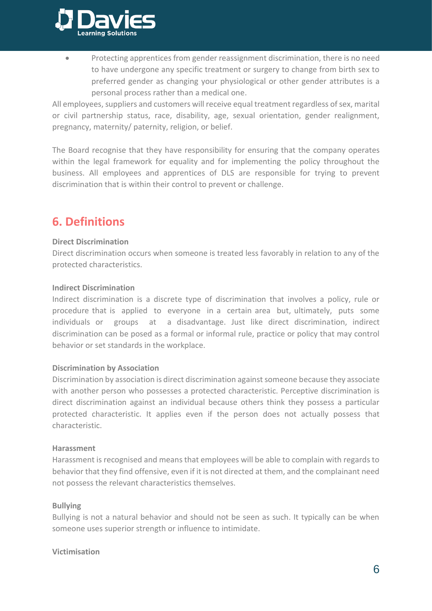

• Protecting apprentices from gender reassignment discrimination, there is no need to have undergone any specific treatment or surgery to change from birth sex to preferred gender as changing your physiological or other gender attributes is a personal process rather than a medical one.

All employees, suppliers and customers will receive equal treatment regardless of sex, marital or civil partnership status, race, disability, age, sexual orientation, gender realignment, pregnancy, maternity/ paternity, religion, or belief.

The Board recognise that they have responsibility for ensuring that the company operates within the legal framework for equality and for implementing the policy throughout the business. All employees and apprentices of DLS are responsible for trying to prevent discrimination that is within their control to prevent or challenge.

## <span id="page-5-0"></span>**6. Definitions**

#### **Direct Discrimination**

Direct discrimination occurs when someone is treated less favorably in relation to any of the protected characteristics.

#### **Indirect Discrimination**

Indirect discrimination is a discrete type of discrimination that involves a policy, rule or procedure that is applied to everyone in a certain area but, ultimately, puts some individuals or groups at a disadvantage. Just like direct discrimination, indirect discrimination can be posed as a formal or informal rule, practice or policy that may control behavior or set standards in the workplace.

#### **Discrimination by Association**

Discrimination by association is direct discrimination against someone because they associate with another person who possesses a protected characteristic. Perceptive discrimination is direct discrimination against an individual because others think they possess a particular protected characteristic. It applies even if the person does not actually possess that characteristic.

#### **Harassment**

Harassment is recognised and means that employees will be able to complain with regards to behavior that they find offensive, even if it is not directed at them, and the complainant need not possess the relevant characteristics themselves.

#### **Bullying**

Bullying is not a natural behavior and should not be seen as such. It typically can be when someone uses superior strength or influence to intimidate.

#### **Victimisation**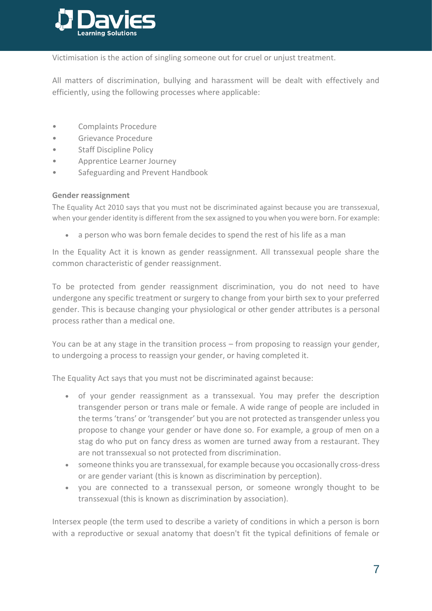

Victimisation is the action of singling someone out for cruel or unjust treatment.

All matters of discrimination, bullying and harassment will be dealt with effectively and efficiently, using the following processes where applicable:

- Complaints Procedure
- Grievance Procedure
- Staff Discipline Policy
- Apprentice Learner Journey
- Safeguarding and Prevent Handbook

#### **Gender reassignment**

The Equality Act 2010 says that you must not be discriminated against because you are transsexual, when your gender identity is different from the sex assigned to you when you were born. For example:

a person who was born female decides to spend the rest of his life as a man

In the Equality Act it is known as gender reassignment. All transsexual people share the common characteristic of gender reassignment.

To be protected from gender reassignment discrimination, you do not need to have undergone any specific treatment or surgery to change from your birth sex to your preferred gender. This is because changing your physiological or other gender attributes is a personal process rather than a medical one.

You can be at any stage in the transition process – from proposing to reassign your gender, to undergoing a process to reassign your gender, or having completed it.

The Equality Act says that you must not be discriminated against because:

- of your gender reassignment as a transsexual. You may prefer the description transgender person or trans male or female. A wide range of people are included in the terms 'trans' or 'transgender' but you are not protected as transgender unless you propose to change your gender or have done so. For example, a group of men on a stag do who put on fancy dress as women are turned away from a restaurant. They are not transsexual so not protected from discrimination.
- someone thinks you are transsexual, for example because you occasionally cross-dress or are gender variant (this is known as discrimination by perception).
- you are connected to a transsexual person, or someone wrongly thought to be transsexual (this is known as discrimination by association).

Intersex people (the term used to describe a variety of conditions in which a person is born with a reproductive or sexual anatomy that doesn't fit the typical definitions of female or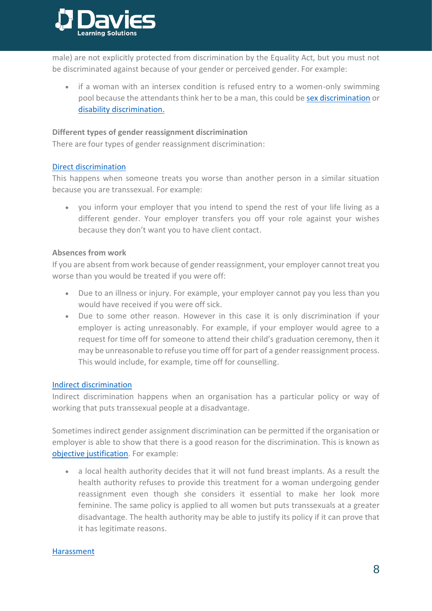

male) are not explicitly protected from discrimination by the Equality Act, but you must not be discriminated against because of your gender or perceived gender. For example:

• if a woman with an intersex condition is refused entry to a women-only swimming pool because the attendants think her to be a man, this could b[e sex discrimination](https://www.equalityhumanrights.com/en/node/1211) or [disability discrimination.](https://www.equalityhumanrights.com/en/node/1186)

#### **Different types of gender reassignment discrimination**

There are four types of gender reassignment discrimination:

#### [Direct discrimination](https://www.equalityhumanrights.com/en/advice-and-guidance/commonly-used-terms-equal-rights#h2)

This happens when someone treats you worse than another person in a similar situation because you are transsexual. For example:

• you inform your employer that you intend to spend the rest of your life living as a different gender. Your employer transfers you off your role against your wishes because they don't want you to have client contact.

#### **Absences from work**

If you are absent from work because of gender reassignment, your employer cannot treat you worse than you would be treated if you were off:

- Due to an illness or injury. For example, your employer cannot pay you less than you would have received if you were off sick.
- Due to some other reason. However in this case it is only discrimination if your employer is acting unreasonably. For example, if your employer would agree to a request for time off for someone to attend their child's graduation ceremony, then it may be unreasonable to refuse you time off for part of a gender reassignment process. This would include, for example, time off for counselling.

#### [Indirect discrimination](https://www.equalityhumanrights.com/en/advice-and-guidance/commonly-used-terms-equal-rights#h5)

Indirect discrimination happens when an organisation has a particular policy or way of working that puts transsexual people at a disadvantage.

Sometimes indirect gender assignment discrimination can be permitted if the organisation or employer is able to show that there is a good reason for the discrimination. This is known as [objective justification.](https://www.equalityhumanrights.com/en/advice-and-guidance/commonly-used-terms-equal-rights#h6) For example:

• a local health authority decides that it will not fund breast implants. As a result the health authority refuses to provide this treatment for a woman undergoing gender reassignment even though she considers it essential to make her look more feminine. The same policy is applied to all women but puts transsexuals at a greater disadvantage. The health authority may be able to justify its policy if it can prove that it has legitimate reasons.

#### [Harassment](https://www.equalityhumanrights.com/en/advice-and-guidance/commonly-used-terms-equal-rights#h4)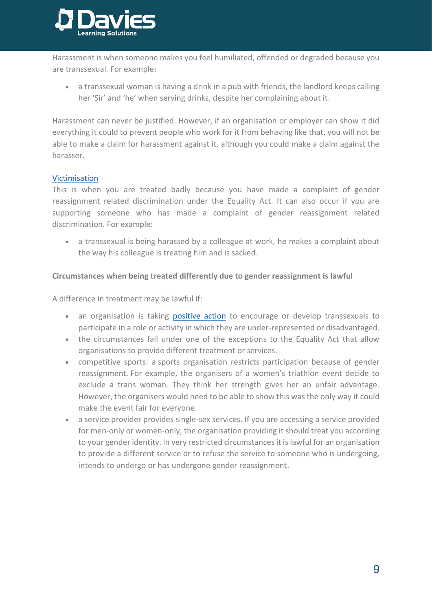

Harassment is when someone makes you feel humiliated, offended or degraded because you are transsexual. For example:

• a transsexual woman is having a drink in a pub with friends, the landlord keeps calling her 'Sir' and 'he' when serving drinks, despite her complaining about it.

Harassment can never be justified. However, if an organisation or employer can show it did everything it could to prevent people who work for it from behaving like that, you will not be able to make a claim for harassment against it, although you could make a claim against the harasser.

#### [Victimisation](https://www.equalityhumanrights.com/en/advice-and-guidance/commonly-used-terms-equal-rights#h10)

This is when you are treated badly because you have made a complaint of gender reassignment related discrimination under the Equality Act. It can also occur if you are supporting someone who has made a complaint of gender reassignment related discrimination. For example:

a transsexual is being harassed by a colleague at work, he makes a complaint about the way his colleague is treating him and is sacked.

#### **Circumstances when being treated differently due to gender reassignment is lawful**

A difference in treatment may be lawful if:

- an organisation is taking [positive action](https://www.equalityhumanrights.com/en/advice-and-guidance/commonly-used-terms-equal-rights#h8) to encourage or develop transsexuals to participate in a role or activity in which they are under-represented or disadvantaged.
- the circumstances fall under one of the exceptions to the Equality Act that allow organisations to provide different treatment or services.
- competitive sports: a sports organisation restricts participation because of gender reassignment. For example, the organisers of a women's triathlon event decide to exclude a trans woman. They think her strength gives her an unfair advantage. However, the organisers would need to be able to show this was the only way it could make the event fair for everyone.
- a service provider provides single-sex services. If you are accessing a service provided for men-only or women-only, the organisation providing it should treat you according to your gender identity. In very restricted circumstances it is lawful for an organisation to provide a different service or to refuse the service to someone who is undergoing, intends to undergo or has undergone gender reassignment.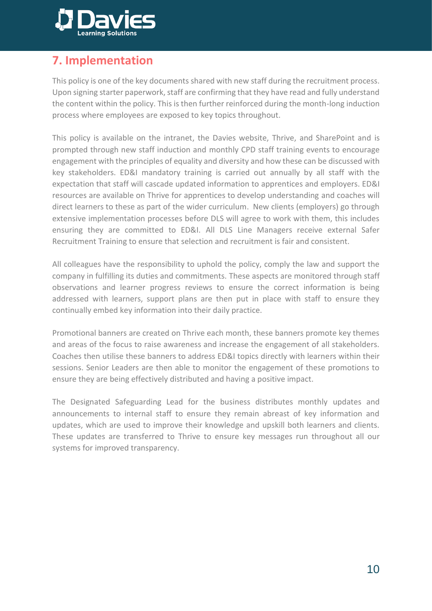

## <span id="page-9-0"></span>**7. Implementation**

This policy is one of the key documents shared with new staff during the recruitment process. Upon signing starter paperwork, staff are confirming that they have read and fully understand the content within the policy. This is then further reinforced during the month-long induction process where employees are exposed to key topics throughout.

This policy is available on the intranet, the Davies website, Thrive, and SharePoint and is prompted through new staff induction and monthly CPD staff training events to encourage engagement with the principles of equality and diversity and how these can be discussed with key stakeholders. ED&I mandatory training is carried out annually by all staff with the expectation that staff will cascade updated information to apprentices and employers. ED&I resources are available on Thrive for apprentices to develop understanding and coaches will direct learners to these as part of the wider curriculum. New clients (employers) go through extensive implementation processes before DLS will agree to work with them, this includes ensuring they are committed to ED&I. All DLS Line Managers receive external Safer Recruitment Training to ensure that selection and recruitment is fair and consistent.

All colleagues have the responsibility to uphold the policy, comply the law and support the company in fulfilling its duties and commitments. These aspects are monitored through staff observations and learner progress reviews to ensure the correct information is being addressed with learners, support plans are then put in place with staff to ensure they continually embed key information into their daily practice.

Promotional banners are created on Thrive each month, these banners promote key themes and areas of the focus to raise awareness and increase the engagement of all stakeholders. Coaches then utilise these banners to address ED&I topics directly with learners within their sessions. Senior Leaders are then able to monitor the engagement of these promotions to ensure they are being effectively distributed and having a positive impact.

The Designated Safeguarding Lead for the business distributes monthly updates and announcements to internal staff to ensure they remain abreast of key information and updates, which are used to improve their knowledge and upskill both learners and clients. These updates are transferred to Thrive to ensure key messages run throughout all our systems for improved transparency.